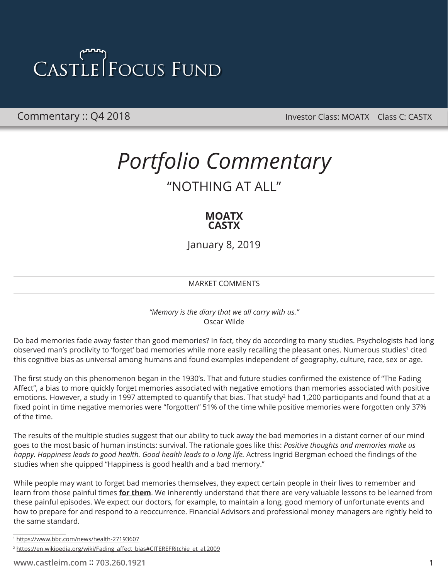Commentary :: Q4 2018 **Commentary :: Q4 2018** Investor Class: MOATX Class C: CASTX

### *Portfolio Commentary* "NOTHING AT ALL"

### **MOATX CASTX**

January 8, 2019

MARKET COMMENTS

*"Memory is the diary that we all carry with us."* Oscar Wilde

Do bad memories fade away faster than good memories? In fact, they do according to many studies. Psychologists had long observed man's proclivity to 'forget' bad memories while more easily recalling the pleasant ones. Numerous studies<sup>1</sup> cited this cognitive bias as universal among humans and found examples independent of geography, culture, race, sex or age.

The first study on this phenomenon began in the 1930's. That and future studies confirmed the existence of "The Fading Affect", a bias to more quickly forget memories associated with negative emotions than memories associated with positive emotions. However, a study in 1997 attempted to quantify that bias. That study<sup>2</sup> had 1,200 participants and found that at a fixed point in time negative memories were "forgotten" 51% of the time while positive memories were forgotten only 37% of the time.

The results of the multiple studies suggest that our ability to tuck away the bad memories in a distant corner of our mind goes to the most basic of human instincts: survival. The rationale goes like this: *Positive thoughts and memories make us happy. Happiness leads to good health. Good health leads to a long life.* Actress Ingrid Bergman echoed the findings of the studies when she quipped "Happiness is good health and a bad memory."

While people may want to forget bad memories themselves, they expect certain people in their lives to remember and learn from those painful times **for them**. We inherently understand that there are very valuable lessons to be learned from these painful episodes. We expect our doctors, for example, to maintain a long, good memory of unfortunate events and how to prepare for and respond to a reoccurrence. Financial Advisors and professional money managers are rightly held to the same standard.

<sup>1</sup> <https://www.bbc.com/news/health-27193607>

<sup>&</sup>lt;sup>2</sup> [https://en.wikipedia.org/wiki/Fading\\_affect\\_bias#CITEREFRitchie\\_et\\_al.2009](https://en.wikipedia.org/wiki/Fading_affect_bias#CITEREFRitchie_et_al.2009)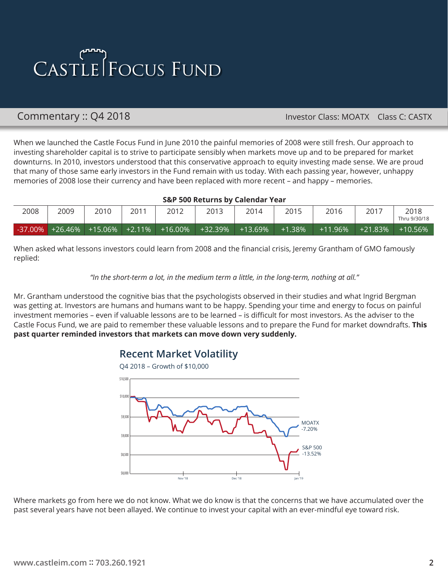### Commentary :: Q4 2018 **Commentary :: Q4 2018** Investor Class: MOATX Class C: CASTX

When we launched the Castle Focus Fund in June 2010 the painful memories of 2008 were still fresh. Our approach to investing shareholder capital is to strive to participate sensibly when markets move up and to be prepared for market downturns. In 2010, investors understood that this conservative approach to equity investing made sense. We are proud that many of those same early investors in the Fund remain with us today. With each passing year, however, unhappy memories of 2008 lose their currency and have been replaced with more recent – and happy – memories.

### **S&P 500 Returns by Calendar Year**

| 2008 | 2009               | 2010    | 2011   | 2012       | 2013    | 2014       | 2015      | 2016       | $201^-$ | 2018<br>Thru 9/30/18 |  |  |
|------|--------------------|---------|--------|------------|---------|------------|-----------|------------|---------|----------------------|--|--|
|      | $-37.00\%$ +26.46% | +15.06% | +2.11% | $+16.00\%$ | +32.39% | $+13.69\%$ | $+1.38\%$ | $+11.96\%$ | +21.83% | $+10.56%$            |  |  |

When asked what lessons investors could learn from 2008 and the financial crisis, Jeremy Grantham of GMO famously replied:

### *"In the short-term a lot, in the medium term a little, in the long-term, nothing at all."*

Mr. Grantham understood the cognitive bias that the psychologists observed in their studies and what Ingrid Bergman was getting at. Investors are humans and humans want to be happy. Spending your time and energy to focus on painful investment memories – even if valuable lessons are to be learned – is difficult for most investors. As the adviser to the Castle Focus Fund, we are paid to remember these valuable lessons and to prepare the Fund for market downdrafts. **This past quarter reminded investors that markets can move down very suddenly.**

### **Recent Market Volatility**



Where markets go from here we do not know. What we do know is that the concerns that we have accumulated over the past several years have not been allayed. We continue to invest your capital with an ever-mindful eye toward risk.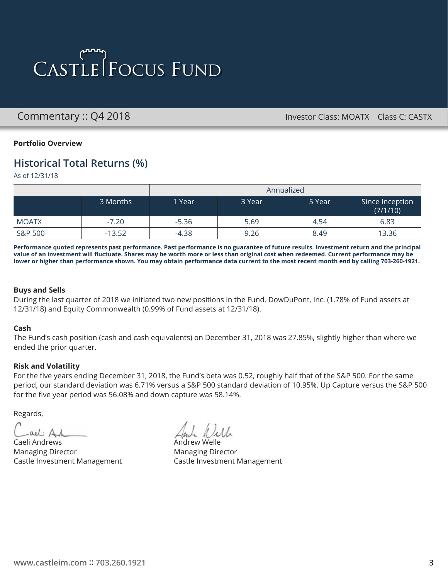Commentary :: Q4 2018 **Commentary :: Q4 2018** Investor Class: MOATX Class C: CASTX

### **Portfolio Overview**

### **Historical Total Returns (%)**

As of 12/31/18

|              |          | Annualized |        |        |                             |  |  |  |
|--------------|----------|------------|--------|--------|-----------------------------|--|--|--|
|              | 3 Months | 1 Year     | 3 Year | 5 Year | Since Inception<br>(7/1/10) |  |  |  |
| <b>MOATX</b> | $-7.20$  | $-5.36$    | 5.69   | 4.54   | 6.83                        |  |  |  |
| S&P 500      | $-13.52$ | $-4.38$    | 9.26   | 8.49   | 13.36                       |  |  |  |

**Performance quoted represents past performance. Past performance is no guarantee of future results. Investment return and the principal value of an investment will fluctuate. Shares may be worth more or less than original cost when redeemed. Current performance may be lower or higher than performance shown. You may obtain performance data current to the most recent month end by calling 703-260-1921.**

### **Buys and Sells**

During the last quarter of 2018 we initiated two new positions in the Fund. DowDuPont, Inc. (1.78% of Fund assets at 12/31/18) and Equity Commonwealth (0.99% of Fund assets at 12/31/18).

### **Cash**

The Fund's cash position (cash and cash equivalents) on December 31, 2018 was 27.85%, slightly higher than where we ended the prior quarter.

### **Risk and Volatility**

For the five years ending December 31, 2018, the Fund's beta was 0.52, roughly half that of the S&P 500. For the same period, our standard deviation was 6.71% versus a S&P 500 standard deviation of 10.95%. Up Capture versus the S&P 500 for the five year period was 56.08% and down capture was 58.14%.

Regards,

Cael: Andrews Andrew Welle  $-ail: Ah$ 

Managing Director **Managing Director** Managing Director

Castle Investment Management Castle Investment Management